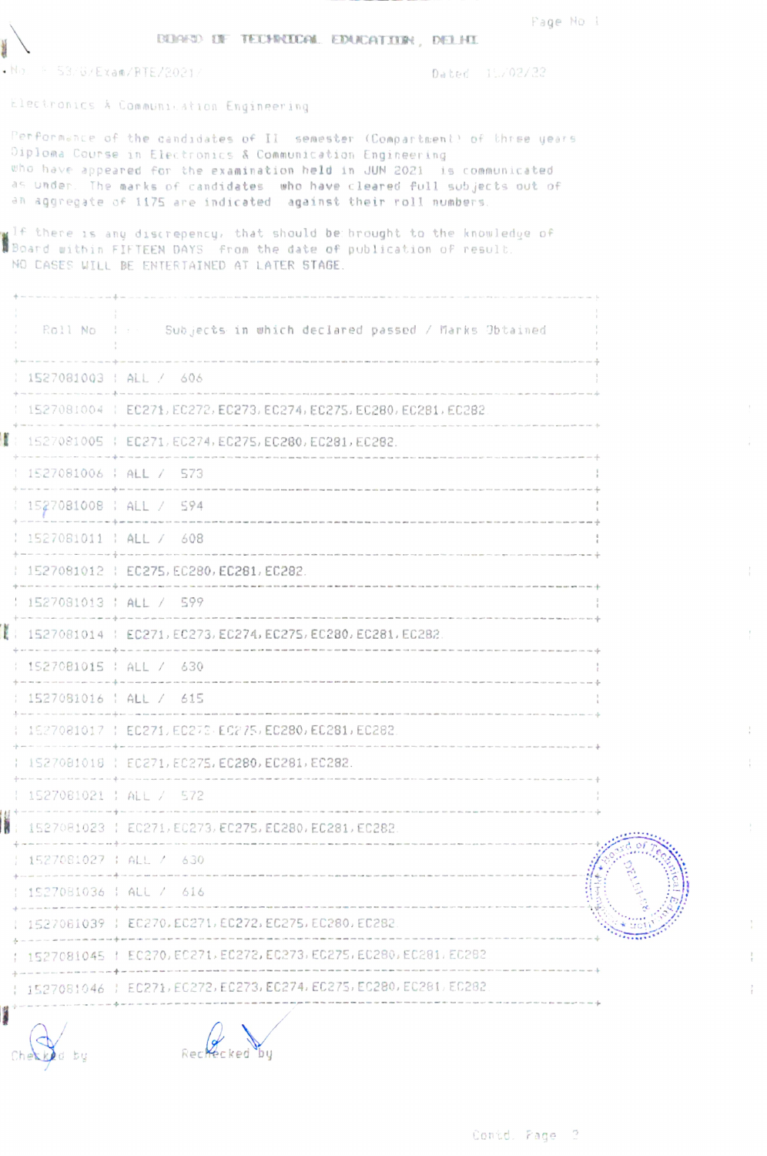Page No 1

y.

 $\frac{1}{t}$ 

Ť.

 $\frac{1}{t}$ 

 $\frac{1}{t}$ 

 $\frac{1}{4}$ 

**BUARD OF TECHNICAL EDUCATION, DELHI** 

 $\cdot$  No.  $F = 53/6 / Exam/RTE/2021 /$ 

基本

Dated 15/02/22

Electronics A Communication Engineering

Performance of the candidates of II semester (Compartment) of three years Diploma Course in Electronics & Communication Engineering who have appeared for the examination held in JUN 2021 is communicated as under. The marks of candidates who have cleared full subjects out of an aggregate of 1175 are indicated against their roll numbers.

If there is any discrepency, that should be brought to the knowledge of posed within FIFTEEN DAYS from the date of publication of result. NO CASES WILL BE ENTERTAINED AT LATER STAGE.

| Roll No                  | I Free Subjects in which declared passed / Marks Obtained                                                                                           |  |
|--------------------------|-----------------------------------------------------------------------------------------------------------------------------------------------------|--|
|                          | 1527081003   ALL / 606                                                                                                                              |  |
|                          | 1527081004   EC271, EC272, EC273, EC274, EC275, EC280, EC281, EC282                                                                                 |  |
|                          | 1527081005   EC271, EC274, EC275, EC280, EC281, EC282.                                                                                              |  |
| 1527081006   ALL / 573   |                                                                                                                                                     |  |
|                          | 1527081008   ALL / 594                                                                                                                              |  |
|                          | 1527081011   ALL / 608                                                                                                                              |  |
|                          | .<br>In the case of the column to the collection with the collection and collection that the collection<br>1527081012   EC275, EC280, EC281, EC282. |  |
| $1527081013$ ; ALL / 599 |                                                                                                                                                     |  |
|                          | 1527081014   EC271, EC273, EC274, EC275, EC280, EC281, EC282                                                                                        |  |
| 1527081015   ALL / 630   |                                                                                                                                                     |  |
|                          | 1527081016   ALL / 615                                                                                                                              |  |
|                          | 1527081017   EC271, EC273, EC275, EC280, EC281, EC282                                                                                               |  |
|                          | 1527081018   EC271, EC275, EC280, EC281, EC282.                                                                                                     |  |
| 1527081021   ALL / 572   | the contract of the contract of the contract of the                                                                                                 |  |
|                          | 1527081023   EC271, EC273, EC275, EC280, EC281, EC282                                                                                               |  |
|                          | 1527081027   ALL / 630                                                                                                                              |  |
|                          | the determination of the con-<br>1527081036   ALL / 616                                                                                             |  |
|                          | 1527081039   EC270, EC271, EC272, EC275, EC280, EC282                                                                                               |  |
|                          | 1527081045 / EC270, EC271, EC272, EC273, EC275, EC280, EC281, EC282                                                                                 |  |
|                          | 1527081046   EC271, EC272, EC273, EC274, EC275, EC280, EC281, EC282                                                                                 |  |
|                          |                                                                                                                                                     |  |